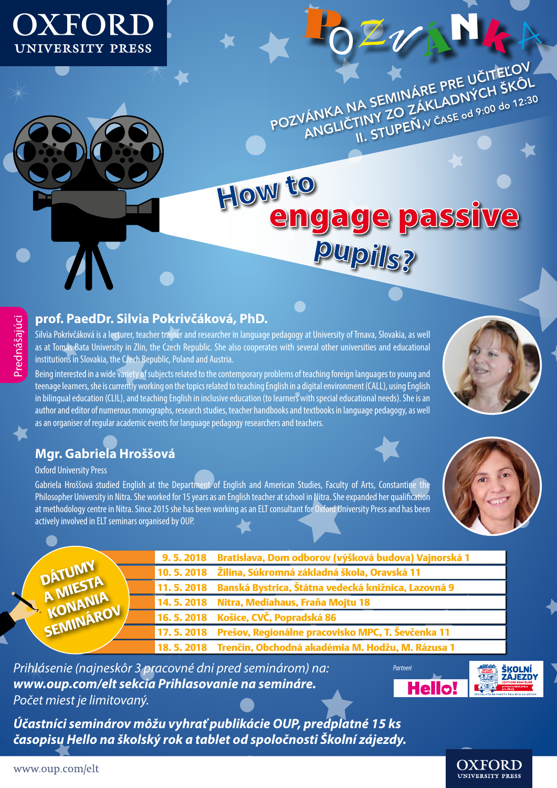

POZVÁNKA NA SEMINÁRE PRE UČITEĽOV,<br>POZVÁNKA NA SEMINÁRE PRE UČITEĽOV, ANKA NA SEMINÁRE PRE UCH ŠKÔL<br>ANGLIČTINY ZO ZÁKLADNÝCH ŠKÔL

<sup>P</sup><sup>O</sup> *<sup>V</sup>* ÁNk <sup>A</sup>

# **How to** engage passive **pupils?**

# Prednášajúci Prednášajúci

### **prof. PaedDr. Silvia Pokrivčáková, PhD.**

Silvia Pokrivčáková is a lecturer, teacher trainer and researcher in language pedagogy at University of Trnava, Slovakia, as well as at Tomas Bata University in Zlin, the Czech Republic. She also cooperates with several other universities and educational institutions in Slovakia, the Czech Republic, Poland and Austria.

Being interested in a wide variety of subjects related to the contemporary problems of teaching foreign languages to young and teenage learners, she is currently working on the topics related to teaching English in a digital environment (CALL), using English in bilingual education (CLIL), and teaching English in inclusive education (to learners with special educational needs). She is an author and editor of numerous monographs, research studies, teacher handbooks and textbooks in language pedagogy, as well as an organiser of regular academic events for language pedagogy researchers and teachers.

# **Mgr. Gabriela Hroššová**

Oxford University Press

Gabriela Hroššová studied English at the Department of English and American Studies, Faculty of Arts, Constantine the Philosopher University in Nitra. She worked for 15 years as an English teacher at school in Nitra. She expanded her qualification at methodology centre in Nitra. Since 2015 she has been working as an ELT consultant for Oxford University Press and has been actively involved in ELT seminars organised by OUP.



|                                            | 9. 5. 2018 Bratislava, Dom odborov (výšková budova) Vajnorská 1   |
|--------------------------------------------|-------------------------------------------------------------------|
| DÁTUMY<br>A MIESTA<br>KONANIA<br>SEMINÁROV | $ $ 10. 5. 2018 $ $ Žilina, Súkromná základná škola, Oravská 11   |
|                                            | 11. 5. 2018 – Banská Bystrica, Štátna vedecká knižnica, Lazovná 9 |
|                                            | 14. 5. 2018 Nitra, Mediahaus, Fraňa Mojtu 18                      |
|                                            | 16. 5. 2018 Košice, CVČ, Popradská 86                             |
|                                            | 17. 5. 2018 Prešov, Regionálne pracovisko MPC, T. Ševčenka 11     |
|                                            | 18. 5. 2018 Trenčín, Obchodná akadémia M. Hodžu, M. Rázusa 1      |

*Prihlásenie (najneskôr 3 pracovné dni pred seminárom) na: www.oup.com/elt sekcia Prihlasovanie na semináre. Počet miest je limitovaný.*

*Účastníci seminárov môžu vyhrať publikácie OUP, predplatné 15 ks časopisu Hello na školský rok a tablet od spoločnosti Školní zájezdy.*



OXFORD

**UNIVERSITY PRESS**